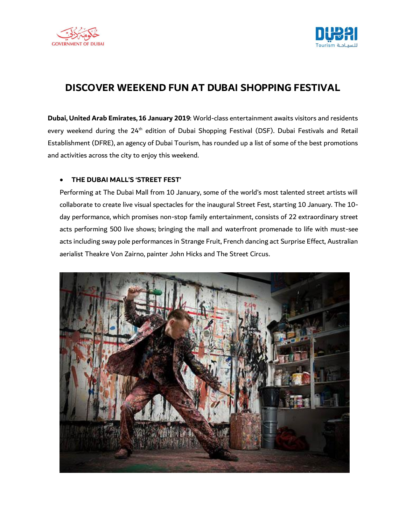



# **DISCOVER WEEKEND FUN AT DUBAI SHOPPING FESTIVAL**

**Dubai, United Arab Emirates,16 January 2019**: World-class entertainment awaits visitors and residents every weekend during the 24<sup>th</sup> edition of Dubai Shopping Festival (DSF). Dubai Festivals and Retail Establishment (DFRE), an agency of Dubai Tourism, has rounded up a list of some of the best promotions and activities across the city to enjoy this weekend.

## **THE DUBAI MALL'S 'STREET FEST'**

Performing at The Dubai Mall from 10 January, some of the world's most talented street artists will collaborate to create live visual spectacles for the inaugural Street Fest, starting 10 January. The 10 day performance, which promises non-stop family entertainment, consists of 22 extraordinary street acts performing 500 live shows; bringing the mall and waterfront promenade to life with must-see acts including sway pole performances in Strange Fruit, French dancing act Surprise Effect, Australian aerialist Theakre Von Zairno, painter John Hicks and The Street Circus.

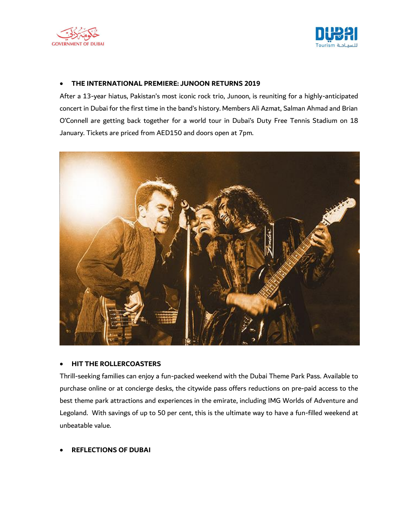



# **THE INTERNATIONAL PREMIERE: JUNOON RETURNS 2019**

After a 13-year hiatus, Pakistan's most iconic rock trio, Junoon, is reuniting for a highly-anticipated concert in Dubai for the first time in the band's history. Members Ali Azmat, Salman Ahmad and Brian O'Connell are getting back together for a world tour in Dubai's Duty Free Tennis Stadium on 18 January. Tickets are priced from AED150 and doors open at 7pm.



## **HIT THE ROLLERCOASTERS**

Thrill-seeking families can enjoy a fun-packed weekend with the Dubai Theme Park Pass. Available to purchase online or at concierge desks, the citywide pass offers reductions on pre-paid access to the best theme park attractions and experiences in the emirate, including IMG Worlds of Adventure and Legoland. With savings of up to 50 per cent, this is the ultimate way to have a fun-filled weekend at unbeatable value.

# **REFLECTIONS OF DUBAI**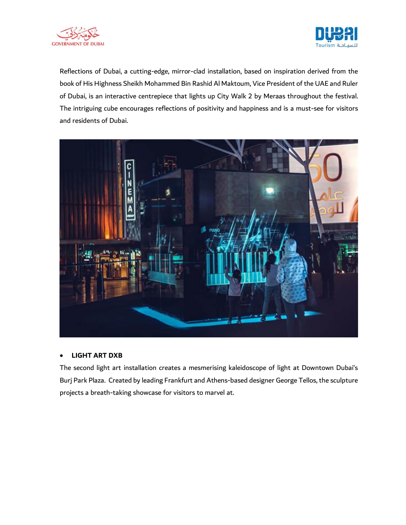



Reflections of Dubai, a cutting-edge, mirror-clad installation, based on inspiration derived from the book of His Highness Sheikh Mohammed Bin Rashid Al Maktoum, Vice President of the UAE and Ruler of Dubai, is an interactive centrepiece that lights up City Walk 2 by Meraas throughout the festival. The intriguing cube encourages reflections of positivity and happiness and is a must-see for visitors and residents of Dubai.



### **LIGHT ART DXB**

The second light art installation creates a mesmerising kaleidoscope of light at Downtown Dubai's Burj Park Plaza. Created by leading Frankfurt and Athens-based designer George Tellos, the sculpture projects a breath-taking showcase for visitors to marvel at.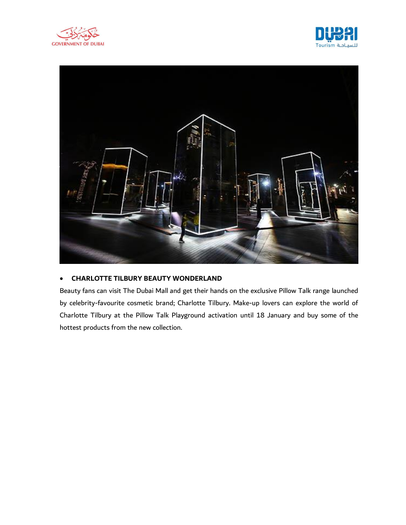





# **CHARLOTTE TILBURY BEAUTY WONDERLAND**

Beauty fans can visit The Dubai Mall and get their hands on the exclusive Pillow Talk range launched by celebrity-favourite cosmetic brand; Charlotte Tilbury. Make-up lovers can explore the world of Charlotte Tilbury at the Pillow Talk Playground activation until 18 January and buy some of the hottest products from the new collection.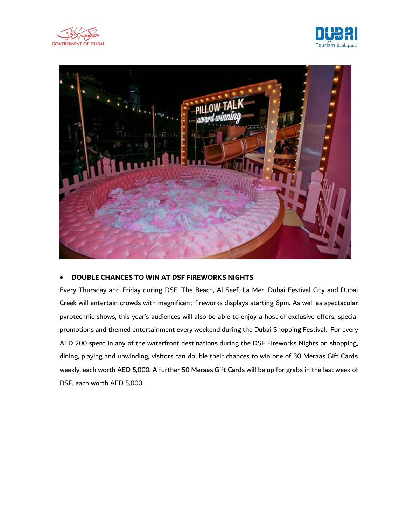





# **DOUBLE CHANCES TO WIN AT DSF FIREWORKS NIGHTS**

Every Thursday and Friday during DSF, The Beach, Al Seef, La Mer, Dubai Festival City and Dubai Creek will entertain crowds with magnificent fireworks displays starting 8pm. As well as spectacular pyrotechnic shows, this year's audiences will also be able to enjoy a host of exclusive offers, special promotions and themed entertainment every weekend during the Dubai Shopping Festival. For every AED 200 spent in any of the waterfront destinations during the DSF Fireworks Nights on shopping, dining, playing and unwinding, visitors can double their chances to win one of 30 Meraas Gift Cards weekly, each worth AED 5,000. A further 50 Meraas Gift Cards will be up for grabs in the last week of DSF, each worth AED 5,000.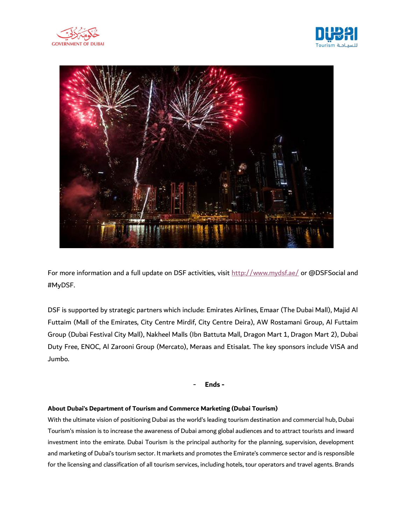





For more information and a full update on DSF activities, visit <http://www.mydsf.ae/> or @DSFSocial and #MyDSF.

DSF is supported by strategic partners which include: Emirates Airlines, Emaar (The Dubai Mall), Majid Al Futtaim (Mall of the Emirates, City Centre Mirdif, City Centre Deira), AW Rostamani Group, Al Futtaim Group (Dubai Festival City Mall), Nakheel Malls (Ibn Battuta Mall, Dragon Mart 1, Dragon Mart 2), Dubai Duty Free, ENOC, Al Zarooni Group (Mercato), Meraas and Etisalat. The key sponsors include VISA and Jumbo.

- **Ends -**

#### **About Dubai's Department of Tourism and Commerce Marketing (Dubai Tourism)**

With the ultimate vision of positioning Dubai as the world's leading tourism destination and commercial hub, Dubai Tourism's mission is to increase the awareness of Dubai among global audiences and to attract tourists and inward investment into the emirate. Dubai Tourism is the principal authority for the planning, supervision, development and marketing of Dubai's tourism sector. It markets and promotes the Emirate's commerce sector and is responsible for the licensing and classification of all tourism services, including hotels, tour operators and travel agents. Brands